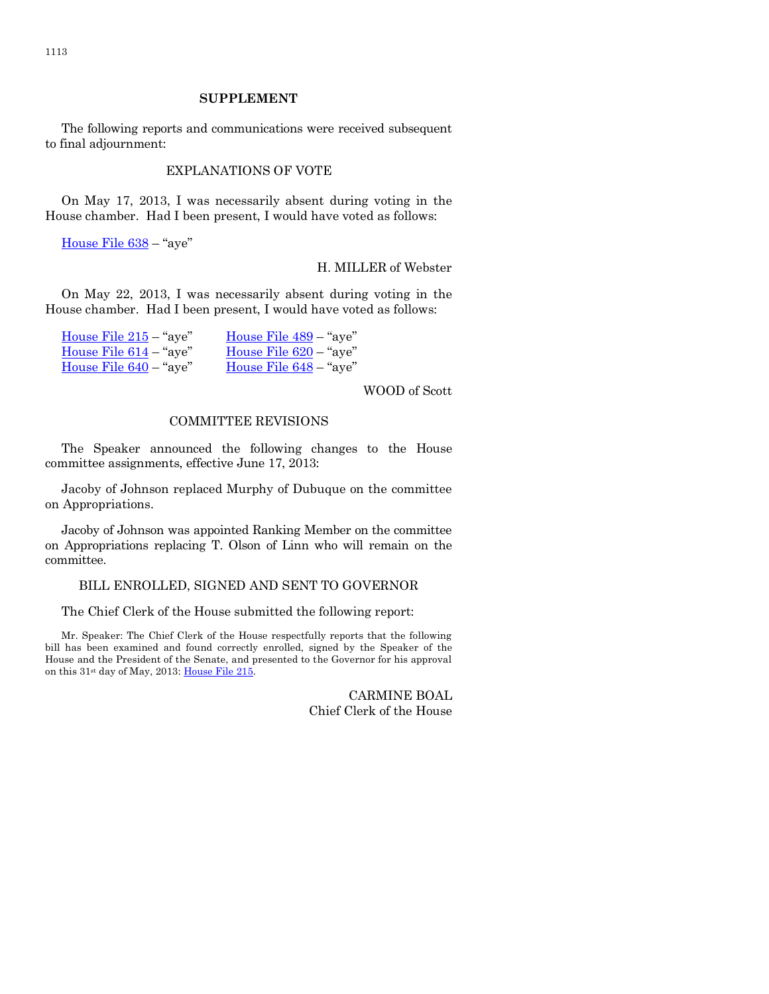The following reports and communications were received subsequent to final adjournment:

### EXPLANATIONS OF VOTE

On May 17, 2013, I was necessarily absent during voting in the House chamber. Had I been present, I would have voted as follows:

[House File 638](http://coolice.legis.iowa.gov/Cool-ICE/default.asp?Category=billinfo&Service=Billbook&frame=1&GA=85&hbill=HF638) – "aye"

### H. MILLER of Webster

On May 22, 2013, I was necessarily absent during voting in the House chamber. Had I been present, I would have voted as follows:

| House File $215 -$ "aye" | House File 489 – "aye"   |
|--------------------------|--------------------------|
| House File $614 -$ "aye" | House File $620 -$ "aye" |
| House File $640 -$ "aye" | House File $648 -$ "aye" |

WOOD of Scott

### COMMITTEE REVISIONS

The Speaker announced the following changes to the House committee assignments, effective June 17, 2013:

Jacoby of Johnson replaced Murphy of Dubuque on the committee on Appropriations.

Jacoby of Johnson was appointed Ranking Member on the committee on Appropriations replacing T. Olson of Linn who will remain on the committee.

### BILL ENROLLED, SIGNED AND SENT TO GOVERNOR

The Chief Clerk of the House submitted the following report:

Mr. Speaker: The Chief Clerk of the House respectfully reports that the following bill has been examined and found correctly enrolled, signed by the Speaker of the House and the President of the Senate, and presented to the Governor for his approval on this 31<sup>st</sup> day of May, 2013[: House File 215.](http://coolice.legis.iowa.gov/Cool-ICE/default.asp?Category=billinfo&Service=Billbook&frame=1&GA=85&hbill=HF215)

> CARMINE BOAL Chief Clerk of the House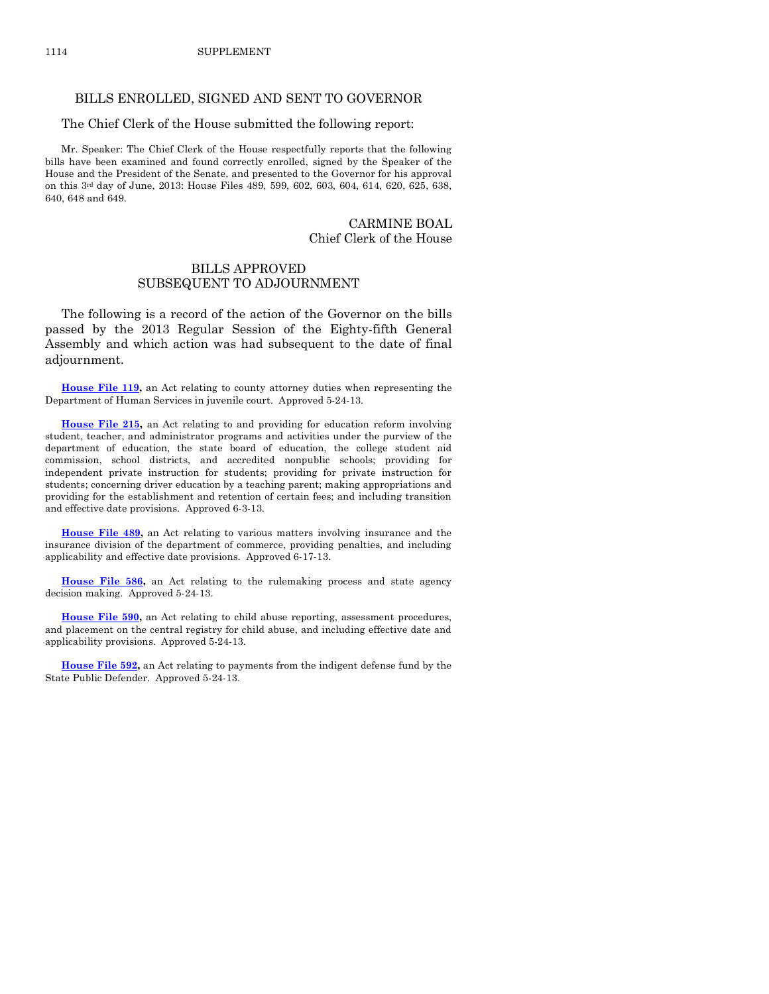### BILLS ENROLLED, SIGNED AND SENT TO GOVERNOR

### The Chief Clerk of the House submitted the following report:

Mr. Speaker: The Chief Clerk of the House respectfully reports that the following bills have been examined and found correctly enrolled, signed by the Speaker of the House and the President of the Senate, and presented to the Governor for his approval on this 3rd day of June, 2013: House Files 489, 599, 602, 603, 604, 614, 620, 625, 638, 640, 648 and 649.

### CARMINE BOAL Chief Clerk of the House

# BILLS APPROVED SUBSEQUENT TO ADJOURNMENT

The following is a record of the action of the Governor on the bills passed by the 2013 Regular Session of the Eighty-fifth General Assembly and which action was had subsequent to the date of final adjournment.

**[House File 119,](http://coolice.legis.iowa.gov/Cool-ICE/default.asp?Category=billinfo&Service=Billbook&frame=1&GA=85&hbill=HF119)** an Act relating to county attorney duties when representing the Department of Human Services in juvenile court. Approved 5-24-13.

**[House File 215,](http://coolice.legis.iowa.gov/Cool-ICE/default.asp?Category=billinfo&Service=Billbook&frame=1&GA=85&hbill=HF215)** an Act relating to and providing for education reform involving student, teacher, and administrator programs and activities under the purview of the department of education, the state board of education, the college student aid commission, school districts, and accredited nonpublic schools; providing for independent private instruction for students; providing for private instruction for students; concerning driver education by a teaching parent; making appropriations and providing for the establishment and retention of certain fees; and including transition and effective date provisions. Approved 6-3-13.

**[House File 489,](http://coolice.legis.iowa.gov/Cool-ICE/default.asp?Category=billinfo&Service=Billbook&frame=1&GA=85&hbill=HF489)** an Act relating to various matters involving insurance and the insurance division of the department of commerce, providing penalties, and including applicability and effective date provisions. Approved 6-17-13.

**[House File 586,](http://coolice.legis.iowa.gov/Cool-ICE/default.asp?Category=billinfo&Service=Billbook&frame=1&GA=85&hbill=HF586)** an Act relating to the rulemaking process and state agency decision making. Approved 5-24-13.

**[House File 590,](http://coolice.legis.iowa.gov/Cool-ICE/default.asp?Category=billinfo&Service=Billbook&frame=1&GA=85&hbill=HF590)** an Act relating to child abuse reporting, assessment procedures, and placement on the central registry for child abuse, and including effective date and applicability provisions. Approved 5-24-13.

**[House File 592,](http://coolice.legis.iowa.gov/Cool-ICE/default.asp?Category=billinfo&Service=Billbook&frame=1&GA=85&hbill=HF592)** an Act relating to payments from the indigent defense fund by the State Public Defender. Approved 5-24-13.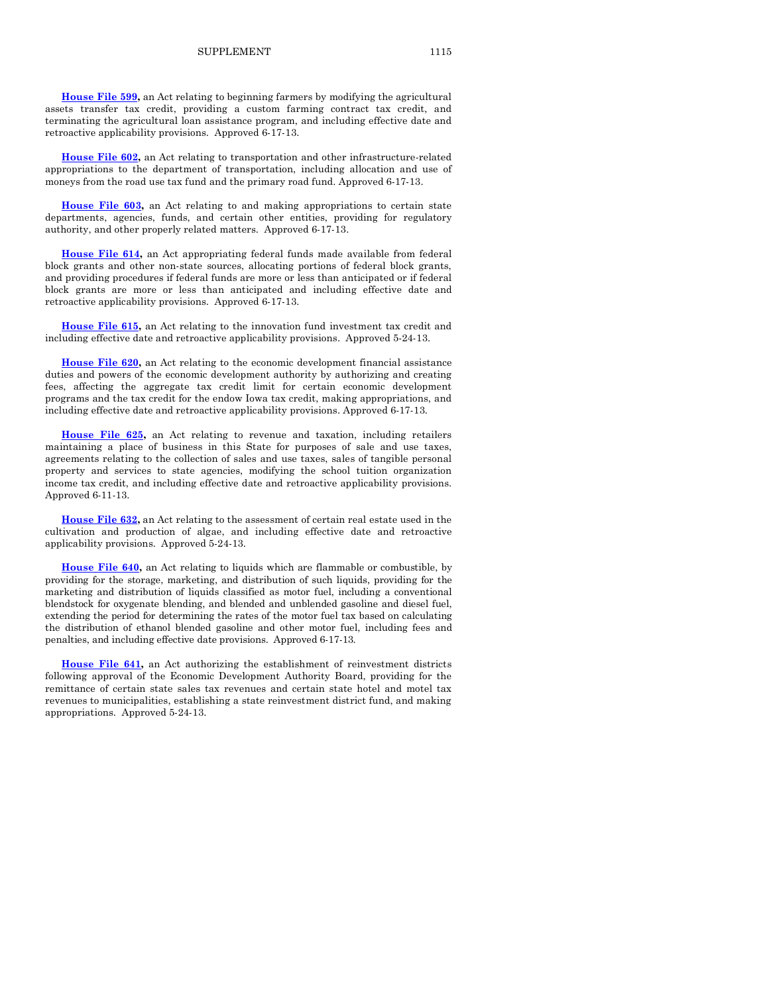**[House File 602,](http://coolice.legis.iowa.gov/Cool-ICE/default.asp?Category=billinfo&Service=Billbook&frame=1&GA=85&hbill=HF602)** an Act relating to transportation and other infrastructure-related appropriations to the department of transportation, including allocation and use of moneys from the road use tax fund and the primary road fund. Approved 6-17-13.

**[House File 603,](http://coolice.legis.iowa.gov/Cool-ICE/default.asp?Category=billinfo&Service=Billbook&frame=1&GA=85&hbill=HF603)** an Act relating to and making appropriations to certain state departments, agencies, funds, and certain other entities, providing for regulatory authority, and other properly related matters. Approved 6-17-13.

**[House File 614,](http://coolice.legis.iowa.gov/Cool-ICE/default.asp?Category=billinfo&Service=Billbook&frame=1&GA=85&hbill=HF614)** an Act appropriating federal funds made available from federal block grants and other non-state sources, allocating portions of federal block grants, and providing procedures if federal funds are more or less than anticipated or if federal block grants are more or less than anticipated and including effective date and retroactive applicability provisions. Approved 6-17-13.

**[House File 615,](http://coolice.legis.iowa.gov/Cool-ICE/default.asp?Category=billinfo&Service=Billbook&frame=1&GA=85&hbill=HF615)** an Act relating to the innovation fund investment tax credit and including effective date and retroactive applicability provisions. Approved 5-24-13.

**[House File 620,](http://coolice.legis.iowa.gov/Cool-ICE/default.asp?Category=billinfo&Service=Billbook&frame=1&GA=85&hbill=HF620)** an Act relating to the economic development financial assistance duties and powers of the economic development authority by authorizing and creating fees, affecting the aggregate tax credit limit for certain economic development programs and the tax credit for the endow Iowa tax credit, making appropriations, and including effective date and retroactive applicability provisions. Approved 6-17-13.

**[House File 625,](http://coolice.legis.iowa.gov/Cool-ICE/default.asp?Category=billinfo&Service=Billbook&frame=1&GA=85&hbill=HF625)** an Act relating to revenue and taxation, including retailers maintaining a place of business in this State for purposes of sale and use taxes, agreements relating to the collection of sales and use taxes, sales of tangible personal property and services to state agencies, modifying the school tuition organization income tax credit, and including effective date and retroactive applicability provisions. Approved 6-11-13.

**[House File 632,](http://coolice.legis.iowa.gov/Cool-ICE/default.asp?Category=billinfo&Service=Billbook&frame=1&GA=85&hbill=HF632)** an Act relating to the assessment of certain real estate used in the cultivation and production of algae, and including effective date and retroactive applicability provisions. Approved 5-24-13.

**[House File 640,](http://coolice.legis.iowa.gov/Cool-ICE/default.asp?Category=billinfo&Service=Billbook&frame=1&GA=85&hbill=HF640)** an Act relating to liquids which are flammable or combustible, by providing for the storage, marketing, and distribution of such liquids, providing for the marketing and distribution of liquids classified as motor fuel, including a conventional blendstock for oxygenate blending, and blended and unblended gasoline and diesel fuel, extending the period for determining the rates of the motor fuel tax based on calculating the distribution of ethanol blended gasoline and other motor fuel, including fees and penalties, and including effective date provisions. Approved 6-17-13.

**[House File 641,](http://coolice.legis.iowa.gov/Cool-ICE/default.asp?Category=billinfo&Service=Billbook&frame=1&GA=85&hbill=HF641)** an Act authorizing the establishment of reinvestment districts following approval of the Economic Development Authority Board, providing for the remittance of certain state sales tax revenues and certain state hotel and motel tax revenues to municipalities, establishing a state reinvestment district fund, and making appropriations. Approved 5-24-13.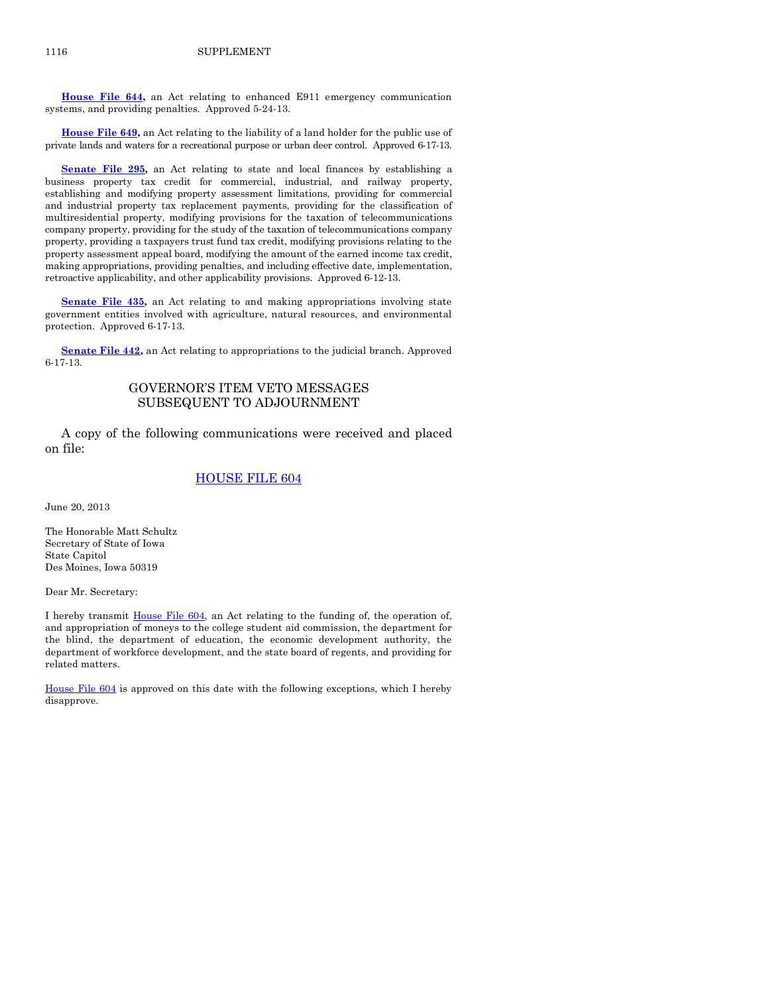**[House File 644,](http://coolice.legis.iowa.gov/Cool-ICE/default.asp?Category=billinfo&Service=Billbook&frame=1&GA=85&hbill=HF644)** an Act relating to enhanced E911 emergency communication systems, and providing penalties. Approved 5-24-13.

**[House File 649,](http://coolice.legis.iowa.gov/Cool-ICE/default.asp?Category=billinfo&Service=Billbook&frame=1&GA=85&hbill=HF649)** an Act relating to the liability of a land holder for the public use of private lands and waters for a recreational purpose or urban deer control. Approved 6-17-13.

**[Senate File 295,](http://coolice.legis.iowa.gov/Cool-ICE/default.asp?Category=billinfo&Service=Billbook&frame=1&GA=85&hbill=SF295)** an Act relating to state and local finances by establishing a business property tax credit for commercial, industrial, and railway property, establishing and modifying property assessment limitations, providing for commercial and industrial property tax replacement payments, providing for the classification of multiresidential property, modifying provisions for the taxation of telecommunications company property, providing for the study of the taxation of telecommunications company property, providing a taxpayers trust fund tax credit, modifying provisions relating to the property assessment appeal board, modifying the amount of the earned income tax credit, making appropriations, providing penalties, and including effective date, implementation, retroactive applicability, and other applicability provisions. Approved 6-12-13.

**[Senate File](http://coolice.legis.iowa.gov/Cool-ICE/default.asp?Category=billinfo&Service=Billbook&frame=1&GA=85&hbill=SF435) 435,** an Act relating to and making appropriations involving state government entities involved with agriculture, natural resources, and environmental protection. Approved 6-17-13.

[Senate File 442,](http://coolice.legis.iowa.gov/Cool-ICE/default.asp?Category=billinfo&Service=Billbook&frame=1&GA=85&hbill=SF442) an Act relating to appropriations to the judicial branch. Approved 6-17-13.

# GOVERNOR'S ITEM VETO MESSAGES SUBSEQUENT TO ADJOURNMENT

A copy of the following communications were received and placed on file:

### [HOUSE FILE 604](http://coolice.legis.iowa.gov/Cool-ICE/default.asp?Category=billinfo&Service=Billbook&frame=1&GA=85&hbill=HF604)

June 20, 2013

The Honorable Matt Schultz Secretary of State of Iowa State Capitol Des Moines, Iowa 50319

Dear Mr. Secretary:

I hereby transmit [House File 604,](http://coolice.legis.iowa.gov/Cool-ICE/default.asp?Category=billinfo&Service=Billbook&frame=1&GA=85&hbill=HF604) an Act relating to the funding of, the operation of, and appropriation of moneys to the college student aid commission, the department for the blind, the department of education, the economic development authority, the department of workforce development, and the state board of regents, and providing for related matters.

[House File 604](http://coolice.legis.iowa.gov/Cool-ICE/default.asp?Category=billinfo&Service=Billbook&frame=1&GA=85&hbill=HF604) is approved on this date with the following exceptions, which I hereby disapprove.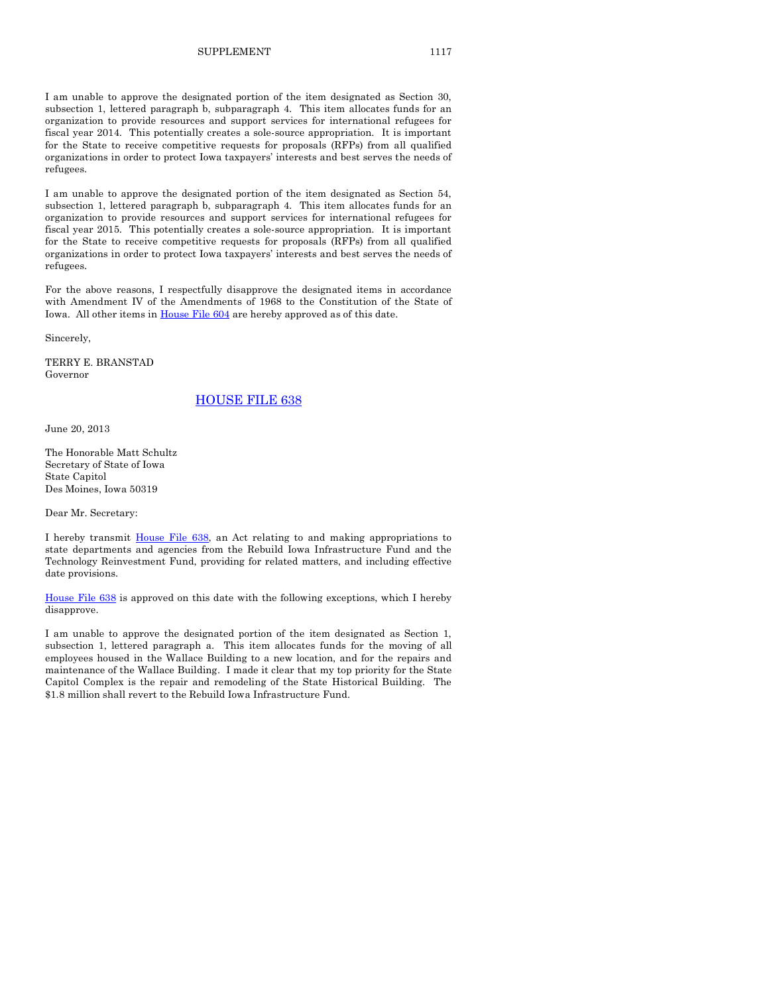I am unable to approve the designated portion of the item designated as Section 54, subsection 1, lettered paragraph b, subparagraph 4. This item allocates funds for an organization to provide resources and support services for international refugees for fiscal year 2015. This potentially creates a sole-source appropriation. It is important for the State to receive competitive requests for proposals (RFPs) from all qualified organizations in order to protect Iowa taxpayers' interests and best serves the needs of refugees.

For the above reasons, I respectfully disapprove the designated items in accordance with Amendment IV of the Amendments of 1968 to the Constitution of the State of Iowa. All other items i[n House File 604](http://coolice.legis.iowa.gov/Cool-ICE/default.asp?Category=billinfo&Service=Billbook&frame=1&GA=85&hbill=HF604) are hereby approved as of this date.

Sincerely,

TERRY E. BRANSTAD Governor

### [HOUSE FILE 638](http://coolice.legis.iowa.gov/Cool-ICE/default.asp?Category=billinfo&Service=Billbook&frame=1&GA=85&hbill=HF638)

June 20, 2013

The Honorable Matt Schultz Secretary of State of Iowa State Capitol Des Moines, Iowa 50319

Dear Mr. Secretary:

I hereby transmit [House File 638,](http://coolice.legis.iowa.gov/Cool-ICE/default.asp?Category=billinfo&Service=Billbook&frame=1&GA=85&hbill=HF638) an Act relating to and making appropriations to state departments and agencies from the Rebuild Iowa Infrastructure Fund and the Technology Reinvestment Fund, providing for related matters, and including effective date provisions.

[House File 638](http://coolice.legis.iowa.gov/Cool-ICE/default.asp?Category=billinfo&Service=Billbook&frame=1&GA=85&hbill=HF638) is approved on this date with the following exceptions, which I hereby disapprove.

I am unable to approve the designated portion of the item designated as Section 1, subsection 1, lettered paragraph a. This item allocates funds for the moving of all employees housed in the Wallace Building to a new location, and for the repairs and maintenance of the Wallace Building. I made it clear that my top priority for the State Capitol Complex is the repair and remodeling of the State Historical Building. The \$1.8 million shall revert to the Rebuild Iowa Infrastructure Fund.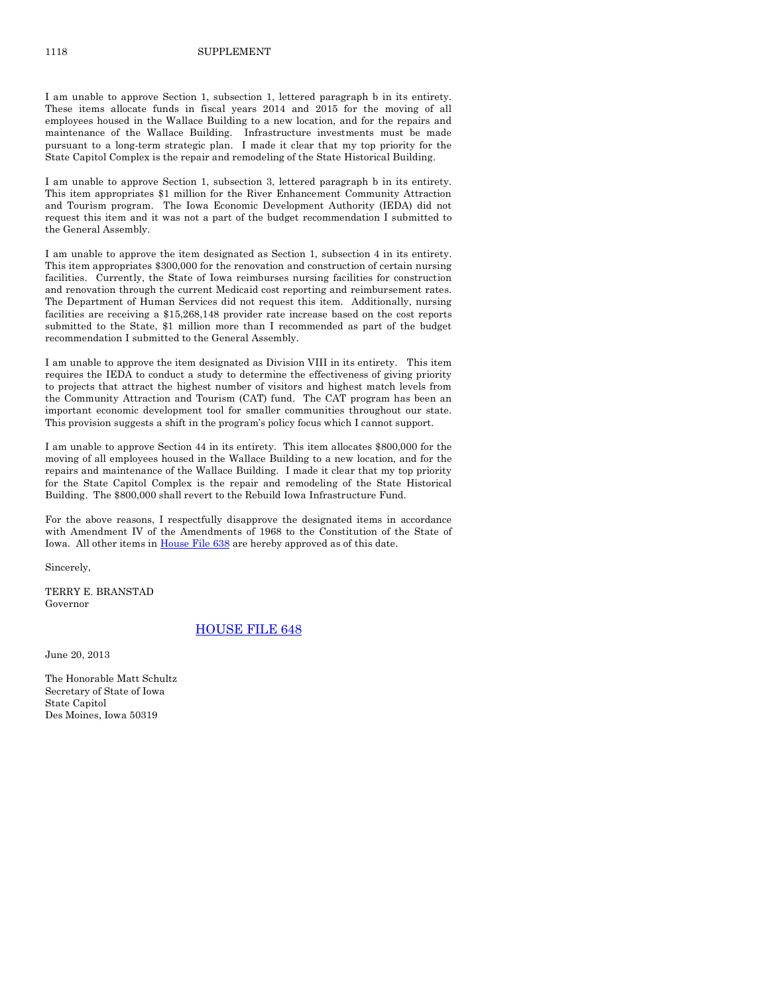I am unable to approve Section 1, subsection 1, lettered paragraph b in its entirety. These items allocate funds in fiscal years 2014 and 2015 for the moving of all employees housed in the Wallace Building to a new location, and for the repairs and maintenance of the Wallace Building. Infrastructure investments must be made pursuant to a long-term strategic plan. I made it clear that my top priority for the State Capitol Complex is the repair and remodeling of the State Historical Building.

I am unable to approve Section 1, subsection 3, lettered paragraph b in its entirety. This item appropriates \$1 million for the River Enhancement Community Attraction and Tourism program. The Iowa Economic Development Authority (IEDA) did not request this item and it was not a part of the budget recommendation I submitted to the General Assembly.

I am unable to approve the item designated as Section 1, subsection 4 in its entirety. This item appropriates \$300,000 for the renovation and construction of certain nursing facilities. Currently, the State of Iowa reimburses nursing facilities for construction and renovation through the current Medicaid cost reporting and reimbursement rates. The Department of Human Services did not request this item. Additionally, nursing facilities are receiving a \$15,268,148 provider rate increase based on the cost reports submitted to the State, \$1 million more than I recommended as part of the budget recommendation I submitted to the General Assembly.

I am unable to approve the item designated as Division VIII in its entirety. This item requires the IEDA to conduct a study to determine the effectiveness of giving priority to projects that attract the highest number of visitors and highest match levels from the Community Attraction and Tourism (CAT) fund. The CAT program has been an important economic development tool for smaller communities throughout our state. This provision suggests a shift in the program's policy focus which I cannot support.

I am unable to approve Section 44 in its entirety. This item allocates \$800,000 for the moving of all employees housed in the Wallace Building to a new location, and for the repairs and maintenance of the Wallace Building. I made it clear that my top priority for the State Capitol Complex is the repair and remodeling of the State Historical Building. The \$800,000 shall revert to the Rebuild Iowa Infrastructure Fund.

For the above reasons, I respectfully disapprove the designated items in accordance with Amendment IV of the Amendments of 1968 to the Constitution of the State of Iowa. All other items i[n House File 638](http://coolice.legis.iowa.gov/Cool-ICE/default.asp?Category=billinfo&Service=Billbook&frame=1&GA=85&hbill=HF638) are hereby approved as of this date.

Sincerely,

TERRY E. BRANSTAD Governor

### [HOUSE FILE 648](http://coolice.legis.iowa.gov/Cool-ICE/default.asp?Category=billinfo&Service=Billbook&frame=1&GA=85&hbill=HF648)

June 20, 2013

The Honorable Matt Schultz Secretary of State of Iowa State Capitol Des Moines, Iowa 50319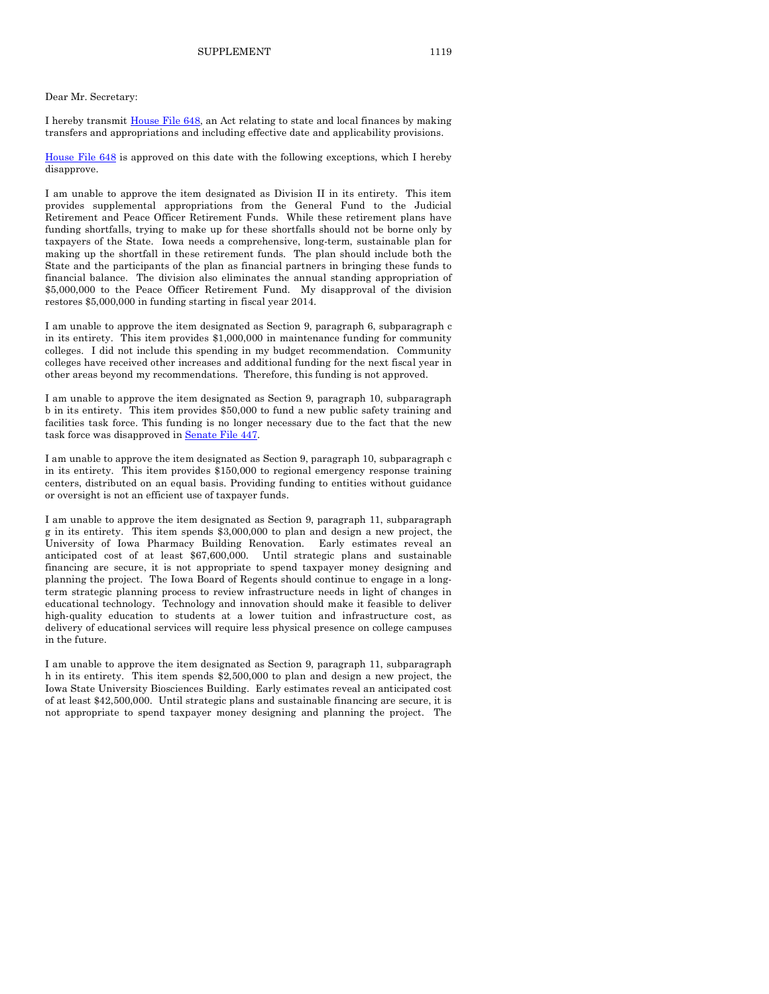#### Dear Mr. Secretary:

I hereby transmit [House File 648,](http://coolice.legis.iowa.gov/Cool-ICE/default.asp?Category=billinfo&Service=Billbook&frame=1&GA=85&hbill=HF648) an Act relating to state and local finances by making transfers and appropriations and including effective date and applicability provisions.

[House File 648](http://coolice.legis.iowa.gov/Cool-ICE/default.asp?Category=billinfo&Service=Billbook&frame=1&GA=85&hbill=HF648) is approved on this date with the following exceptions, which I hereby disapprove.

I am unable to approve the item designated as Division II in its entirety. This item provides supplemental appropriations from the General Fund to the Judicial Retirement and Peace Officer Retirement Funds. While these retirement plans have funding shortfalls, trying to make up for these shortfalls should not be borne only by taxpayers of the State. Iowa needs a comprehensive, long-term, sustainable plan for making up the shortfall in these retirement funds. The plan should include both the State and the participants of the plan as financial partners in bringing these funds to financial balance. The division also eliminates the annual standing appropriation of \$5,000,000 to the Peace Officer Retirement Fund. My disapproval of the division restores \$5,000,000 in funding starting in fiscal year 2014.

I am unable to approve the item designated as Section 9, paragraph 6, subparagraph c in its entirety. This item provides \$1,000,000 in maintenance funding for community colleges. I did not include this spending in my budget recommendation. Community colleges have received other increases and additional funding for the next fiscal year in other areas beyond my recommendations. Therefore, this funding is not approved.

I am unable to approve the item designated as Section 9, paragraph 10, subparagraph b in its entirety. This item provides \$50,000 to fund a new public safety training and facilities task force. This funding is no longer necessary due to the fact that the new task force was disapproved i[n Senate File 447.](http://coolice.legis.iowa.gov/Cool-ICE/default.asp?Category=billinfo&Service=Billbook&frame=1&GA=85&hbill=SF447)

I am unable to approve the item designated as Section 9, paragraph 10, subparagraph c in its entirety. This item provides \$150,000 to regional emergency response training centers, distributed on an equal basis. Providing funding to entities without guidance or oversight is not an efficient use of taxpayer funds.

I am unable to approve the item designated as Section 9, paragraph 11, subparagraph g in its entirety. This item spends \$3,000,000 to plan and design a new project, the University of Iowa Pharmacy Building Renovation. Early estimates reveal an anticipated cost of at least \$67,600,000. Until strategic plans and sustainable financing are secure, it is not appropriate to spend taxpayer money designing and planning the project. The Iowa Board of Regents should continue to engage in a longterm strategic planning process to review infrastructure needs in light of changes in educational technology. Technology and innovation should make it feasible to deliver high-quality education to students at a lower tuition and infrastructure cost, as delivery of educational services will require less physical presence on college campuses in the future.

I am unable to approve the item designated as Section 9, paragraph 11, subparagraph h in its entirety. This item spends \$2,500,000 to plan and design a new project, the Iowa State University Biosciences Building. Early estimates reveal an anticipated cost of at least \$42,500,000. Until strategic plans and sustainable financing are secure, it is not appropriate to spend taxpayer money designing and planning the project. The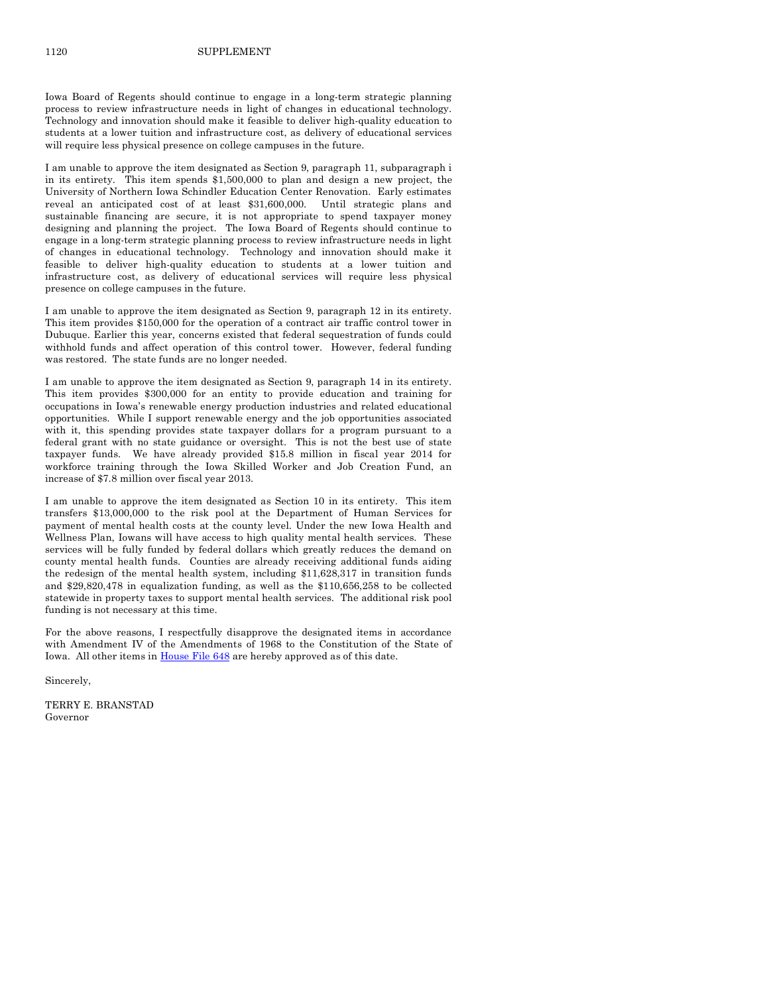Iowa Board of Regents should continue to engage in a long-term strategic planning process to review infrastructure needs in light of changes in educational technology. Technology and innovation should make it feasible to deliver high-quality education to students at a lower tuition and infrastructure cost, as delivery of educational services will require less physical presence on college campuses in the future.

I am unable to approve the item designated as Section 9, paragraph 11, subparagraph i in its entirety. This item spends \$1,500,000 to plan and design a new project, the University of Northern Iowa Schindler Education Center Renovation. Early estimates reveal an anticipated cost of at least \$31,600,000. Until strategic plans and sustainable financing are secure, it is not appropriate to spend taxpayer money designing and planning the project. The Iowa Board of Regents should continue to engage in a long-term strategic planning process to review infrastructure needs in light of changes in educational technology. Technology and innovation should make it feasible to deliver high-quality education to students at a lower tuition and infrastructure cost, as delivery of educational services will require less physical presence on college campuses in the future.

I am unable to approve the item designated as Section 9, paragraph 12 in its entirety. This item provides \$150,000 for the operation of a contract air traffic control tower in Dubuque. Earlier this year, concerns existed that federal sequestration of funds could withhold funds and affect operation of this control tower. However, federal funding was restored. The state funds are no longer needed.

I am unable to approve the item designated as Section 9, paragraph 14 in its entirety. This item provides \$300,000 for an entity to provide education and training for occupations in Iowa's renewable energy production industries and related educational opportunities. While I support renewable energy and the job opportunities associated with it, this spending provides state taxpayer dollars for a program pursuant to a federal grant with no state guidance or oversight. This is not the best use of state taxpayer funds. We have already provided \$15.8 million in fiscal year 2014 for workforce training through the Iowa Skilled Worker and Job Creation Fund, an increase of \$7.8 million over fiscal year 2013.

I am unable to approve the item designated as Section 10 in its entirety. This item transfers \$13,000,000 to the risk pool at the Department of Human Services for payment of mental health costs at the county level. Under the new Iowa Health and Wellness Plan, Iowans will have access to high quality mental health services. These services will be fully funded by federal dollars which greatly reduces the demand on county mental health funds. Counties are already receiving additional funds aiding the redesign of the mental health system, including \$11,628,317 in transition funds and \$29,820,478 in equalization funding, as well as the \$110,656,258 to be collected statewide in property taxes to support mental health services. The additional risk pool funding is not necessary at this time.

For the above reasons, I respectfully disapprove the designated items in accordance with Amendment IV of the Amendments of 1968 to the Constitution of the State of Iowa. All other items i[n House File 648](http://coolice.legis.iowa.gov/Cool-ICE/default.asp?Category=billinfo&Service=Billbook&frame=1&GA=85&hbill=HF648) are hereby approved as of this date.

Sincerely,

TERRY E. BRANSTAD Governor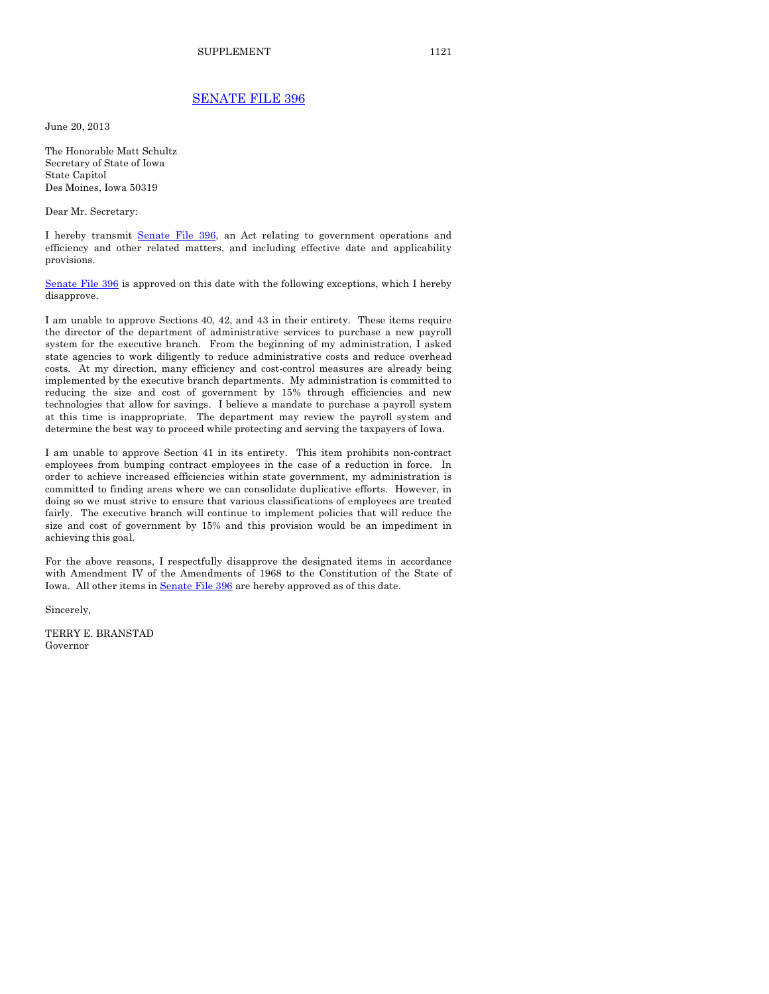### [SENATE FILE 396](http://coolice.legis.iowa.gov/Cool-ICE/default.asp?Category=billinfo&Service=Billbook&frame=1&GA=85&hbill=SF396)

June 20, 2013

The Honorable Matt Schultz Secretary of State of Iowa State Capitol Des Moines, Iowa 50319

Dear Mr. Secretary:

I hereby transmit [Senate File 396,](http://coolice.legis.iowa.gov/Cool-ICE/default.asp?Category=billinfo&Service=Billbook&frame=1&GA=85&hbill=SF396) an Act relating to government operations and efficiency and other related matters, and including effective date and applicability provisions.

[Senate File 396](http://coolice.legis.iowa.gov/Cool-ICE/default.asp?Category=billinfo&Service=Billbook&frame=1&GA=85&hbill=SF396) is approved on this date with the following exceptions, which I hereby disapprove.

I am unable to approve Sections 40, 42, and 43 in their entirety. These items require the director of the department of administrative services to purchase a new payroll system for the executive branch. From the beginning of my administration, I asked state agencies to work diligently to reduce administrative costs and reduce overhead costs. At my direction, many efficiency and cost-control measures are already being implemented by the executive branch departments. My administration is committed to reducing the size and cost of government by 15% through efficiencies and new technologies that allow for savings. I believe a mandate to purchase a payroll system at this time is inappropriate. The department may review the payroll system and determine the best way to proceed while protecting and serving the taxpayers of Iowa.

I am unable to approve Section 41 in its entirety. This item prohibits non-contract employees from bumping contract employees in the case of a reduction in force. In order to achieve increased efficiencies within state government, my administration is committed to finding areas where we can consolidate duplicative efforts. However, in doing so we must strive to ensure that various classifications of employees are treated fairly. The executive branch will continue to implement policies that will reduce the size and cost of government by 15% and this provision would be an impediment in achieving this goal.

For the above reasons, I respectfully disapprove the designated items in accordance with Amendment IV of the Amendments of 1968 to the Constitution of the State of Iowa. All other items i[n Senate File 396](http://coolice.legis.iowa.gov/Cool-ICE/default.asp?Category=billinfo&Service=Billbook&frame=1&GA=85&hbill=SF396) are hereby approved as of this date.

Sincerely,

TERRY E. BRANSTAD Governor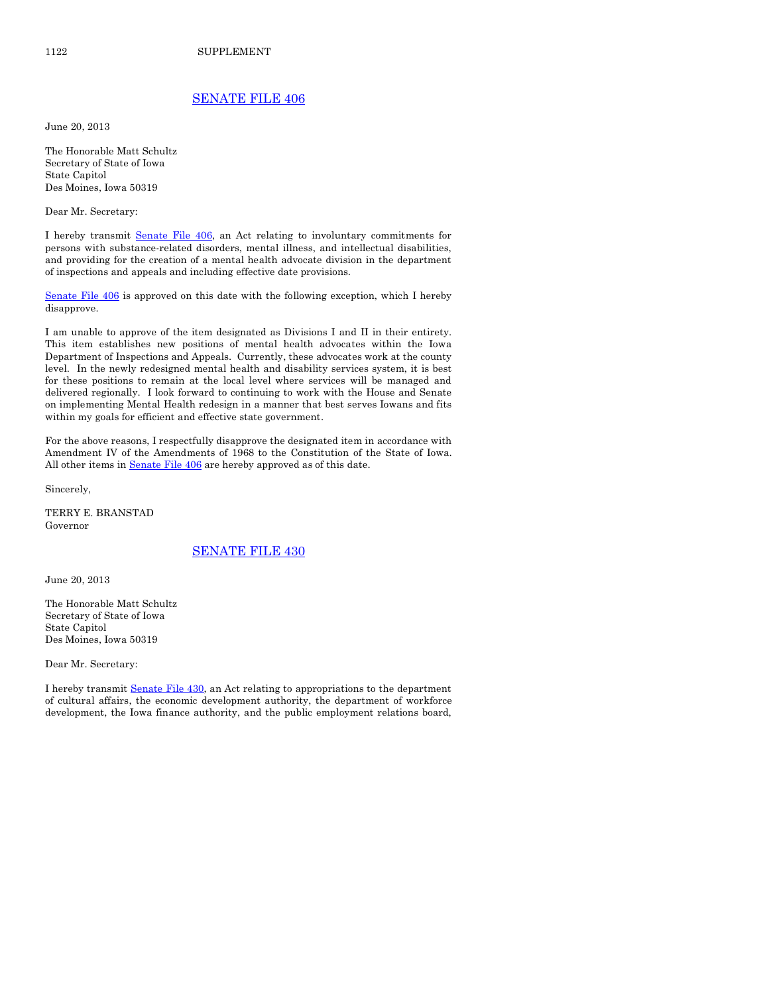# [SENATE FILE 406](http://coolice.legis.iowa.gov/Cool-ICE/default.asp?Category=billinfo&Service=Billbook&frame=1&GA=85&hbill=SF406)

June 20, 2013

The Honorable Matt Schultz Secretary of State of Iowa State Capitol Des Moines, Iowa 50319

Dear Mr. Secretary:

I hereby transmit [Senate File 406,](http://coolice.legis.iowa.gov/Cool-ICE/default.asp?Category=billinfo&Service=Billbook&frame=1&GA=85&hbill=SF406) an Act relating to involuntary commitments for persons with substance-related disorders, mental illness, and intellectual disabilities, and providing for the creation of a mental health advocate division in the department of inspections and appeals and including effective date provisions.

[Senate File 406](http://coolice.legis.iowa.gov/Cool-ICE/default.asp?Category=billinfo&Service=Billbook&frame=1&GA=85&hbill=SF406) is approved on this date with the following exception, which I hereby disapprove.

I am unable to approve of the item designated as Divisions I and II in their entirety. This item establishes new positions of mental health advocates within the Iowa Department of Inspections and Appeals. Currently, these advocates work at the county level. In the newly redesigned mental health and disability services system, it is best for these positions to remain at the local level where services will be managed and delivered regionally. I look forward to continuing to work with the House and Senate on implementing Mental Health redesign in a manner that best serves Iowans and fits within my goals for efficient and effective state government.

For the above reasons, I respectfully disapprove the designated item in accordance with Amendment IV of the Amendments of 1968 to the Constitution of the State of Iowa. All other items in **Senate File 406** are hereby approved as of this date.

Sincerely,

TERRY E. BRANSTAD Governor

### [SENATE FILE 430](http://coolice.legis.iowa.gov/Cool-ICE/default.asp?Category=billinfo&Service=Billbook&frame=1&GA=85&hbill=SF430)

June 20, 2013

The Honorable Matt Schultz Secretary of State of Iowa State Capitol Des Moines, Iowa 50319

Dear Mr. Secretary:

I hereby transmit [Senate File 430,](http://coolice.legis.iowa.gov/Cool-ICE/default.asp?Category=billinfo&Service=Billbook&frame=1&GA=85&hbill=SF430) an Act relating to appropriations to the department of cultural affairs, the economic development authority, the department of workforce development, the Iowa finance authority, and the public employment relations board,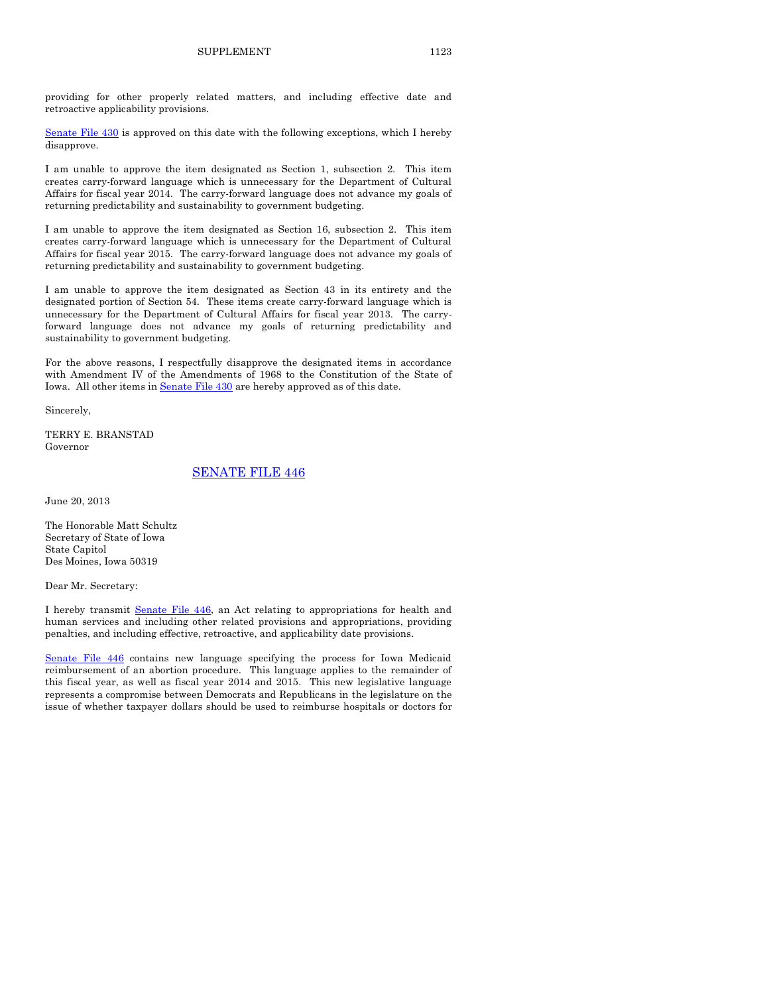providing for other properly related matters, and including effective date and retroactive applicability provisions.

[Senate File 430](http://coolice.legis.iowa.gov/Cool-ICE/default.asp?Category=billinfo&Service=Billbook&frame=1&GA=85&hbill=SF430) is approved on this date with the following exceptions, which I hereby disapprove.

I am unable to approve the item designated as Section 1, subsection 2. This item creates carry-forward language which is unnecessary for the Department of Cultural Affairs for fiscal year 2014. The carry-forward language does not advance my goals of returning predictability and sustainability to government budgeting.

I am unable to approve the item designated as Section 16, subsection 2. This item creates carry-forward language which is unnecessary for the Department of Cultural Affairs for fiscal year 2015. The carry-forward language does not advance my goals of returning predictability and sustainability to government budgeting.

I am unable to approve the item designated as Section 43 in its entirety and the designated portion of Section 54. These items create carry-forward language which is unnecessary for the Department of Cultural Affairs for fiscal year 2013. The carryforward language does not advance my goals of returning predictability and sustainability to government budgeting.

For the above reasons, I respectfully disapprove the designated items in accordance with Amendment IV of the Amendments of 1968 to the Constitution of the State of Iowa. All other items i[n Senate File 430](http://coolice.legis.iowa.gov/Cool-ICE/default.asp?Category=billinfo&Service=Billbook&frame=1&GA=85&hbill=SF430) are hereby approved as of this date.

Sincerely,

TERRY E. BRANSTAD Governor

### [SENATE FILE 446](http://coolice.legis.iowa.gov/Cool-ICE/default.asp?Category=billinfo&Service=Billbook&frame=1&GA=85&hbill=SF446)

June 20, 2013

The Honorable Matt Schultz Secretary of State of Iowa State Capitol Des Moines, Iowa 50319

Dear Mr. Secretary:

I hereby transmit [Senate File 446,](http://coolice.legis.iowa.gov/Cool-ICE/default.asp?Category=billinfo&Service=Billbook&frame=1&GA=85&hbill=SF446) an Act relating to appropriations for health and human services and including other related provisions and appropriations, providing penalties, and including effective, retroactive, and applicability date provisions.

[Senate File 446](http://coolice.legis.iowa.gov/Cool-ICE/default.asp?Category=billinfo&Service=Billbook&frame=1&GA=85&hbill=SF446) contains new language specifying the process for Iowa Medicaid reimbursement of an abortion procedure. This language applies to the remainder of this fiscal year, as well as fiscal year 2014 and 2015. This new legislative language represents a compromise between Democrats and Republicans in the legislature on the issue of whether taxpayer dollars should be used to reimburse hospitals or doctors for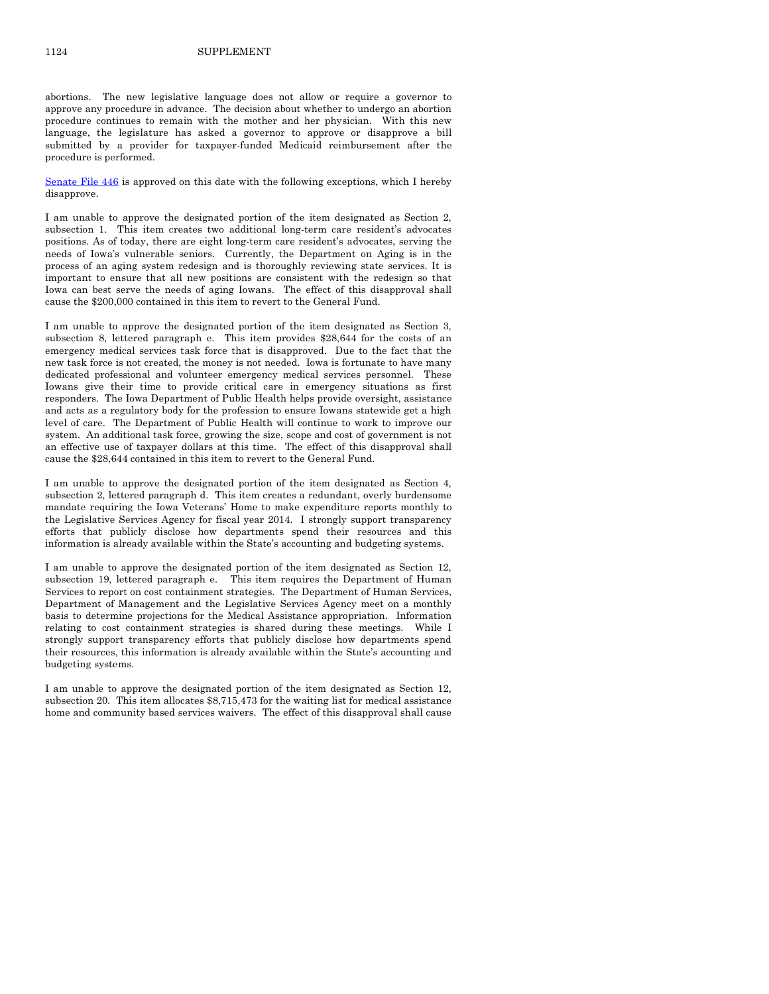abortions. The new legislative language does not allow or require a governor to approve any procedure in advance. The decision about whether to undergo an abortion procedure continues to remain with the mother and her physician. With this new language, the legislature has asked a governor to approve or disapprove a bill submitted by a provider for taxpayer-funded Medicaid reimbursement after the procedure is performed.

[Senate File 446](http://coolice.legis.iowa.gov/Cool-ICE/default.asp?Category=billinfo&Service=Billbook&frame=1&GA=85&hbill=SF446) is approved on this date with the following exceptions, which I hereby disapprove.

I am unable to approve the designated portion of the item designated as Section 2, subsection 1. This item creates two additional long-term care resident's advocates positions. As of today, there are eight long-term care resident's advocates, serving the needs of Iowa's vulnerable seniors. Currently, the Department on Aging is in the process of an aging system redesign and is thoroughly reviewing state services. It is important to ensure that all new positions are consistent with the redesign so that Iowa can best serve the needs of aging Iowans. The effect of this disapproval shall cause the \$200,000 contained in this item to revert to the General Fund.

I am unable to approve the designated portion of the item designated as Section 3, subsection 8, lettered paragraph e. This item provides \$28,644 for the costs of an emergency medical services task force that is disapproved. Due to the fact that the new task force is not created, the money is not needed. Iowa is fortunate to have many dedicated professional and volunteer emergency medical services personnel. These Iowans give their time to provide critical care in emergency situations as first responders. The Iowa Department of Public Health helps provide oversight, assistance and acts as a regulatory body for the profession to ensure Iowans statewide get a high level of care. The Department of Public Health will continue to work to improve our system. An additional task force, growing the size, scope and cost of government is not an effective use of taxpayer dollars at this time. The effect of this disapproval shall cause the \$28,644 contained in this item to revert to the General Fund.

I am unable to approve the designated portion of the item designated as Section 4, subsection 2, lettered paragraph d. This item creates a redundant, overly burdensome mandate requiring the Iowa Veterans' Home to make expenditure reports monthly to the Legislative Services Agency for fiscal year 2014. I strongly support transparency efforts that publicly disclose how departments spend their resources and this information is already available within the State's accounting and budgeting systems.

I am unable to approve the designated portion of the item designated as Section 12, subsection 19, lettered paragraph e. This item requires the Department of Human Services to report on cost containment strategies. The Department of Human Services, Department of Management and the Legislative Services Agency meet on a monthly basis to determine projections for the Medical Assistance appropriation. Information relating to cost containment strategies is shared during these meetings. While I strongly support transparency efforts that publicly disclose how departments spend their resources, this information is already available within the State's accounting and budgeting systems.

I am unable to approve the designated portion of the item designated as Section 12, subsection 20. This item allocates \$8,715,473 for the waiting list for medical assistance home and community based services waivers. The effect of this disapproval shall cause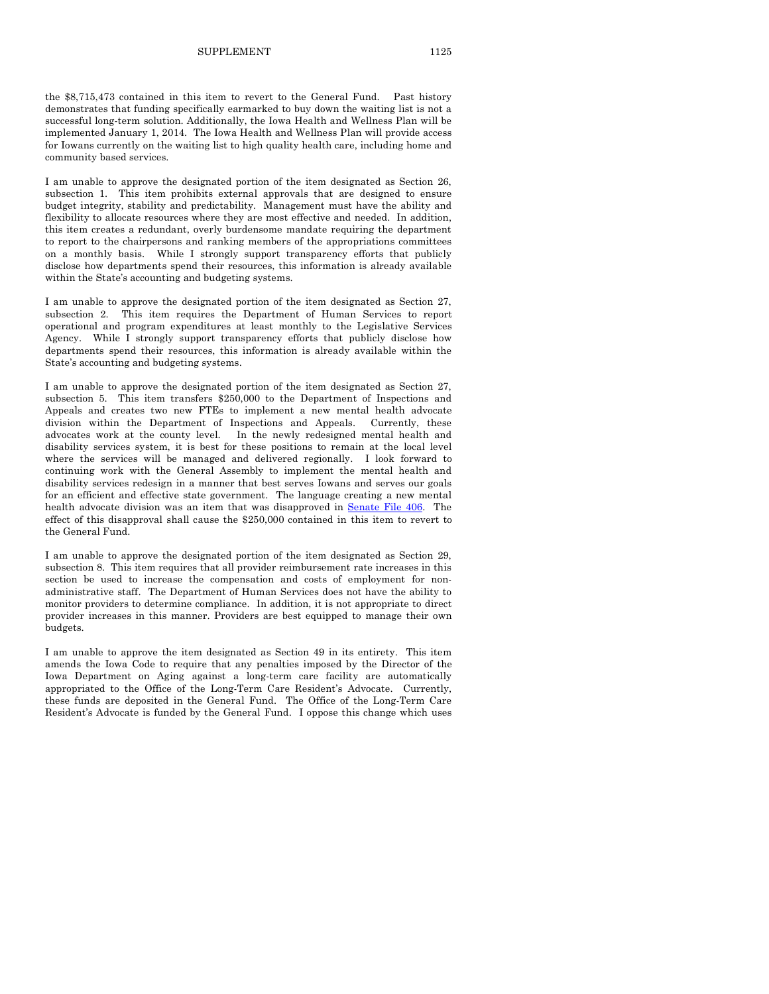the \$8,715,473 contained in this item to revert to the General Fund. Past history demonstrates that funding specifically earmarked to buy down the waiting list is not a successful long-term solution. Additionally, the Iowa Health and Wellness Plan will be implemented January 1, 2014. The Iowa Health and Wellness Plan will provide access for Iowans currently on the waiting list to high quality health care, including home and community based services.

I am unable to approve the designated portion of the item designated as Section 26, subsection 1. This item prohibits external approvals that are designed to ensure budget integrity, stability and predictability. Management must have the ability and flexibility to allocate resources where they are most effective and needed. In addition, this item creates a redundant, overly burdensome mandate requiring the department to report to the chairpersons and ranking members of the appropriations committees on a monthly basis. While I strongly support transparency efforts that publicly disclose how departments spend their resources, this information is already available within the State's accounting and budgeting systems.

I am unable to approve the designated portion of the item designated as Section 27, subsection 2. This item requires the Department of Human Services to report operational and program expenditures at least monthly to the Legislative Services Agency. While I strongly support transparency efforts that publicly disclose how departments spend their resources, this information is already available within the State's accounting and budgeting systems.

I am unable to approve the designated portion of the item designated as Section 27, subsection 5. This item transfers \$250,000 to the Department of Inspections and Appeals and creates two new FTEs to implement a new mental health advocate division within the Department of Inspections and Appeals. Currently, these advocates work at the county level. In the newly redesigned mental health and disability services system, it is best for these positions to remain at the local level where the services will be managed and delivered regionally. I look forward to continuing work with the General Assembly to implement the mental health and disability services redesign in a manner that best serves Iowans and serves our goals for an efficient and effective state government. The language creating a new mental health advocate division was an item that was disapproved in [Senate File 406.](http://coolice.legis.iowa.gov/Cool-ICE/default.asp?Category=billinfo&Service=Billbook&frame=1&GA=85&hbill=SF406) The effect of this disapproval shall cause the \$250,000 contained in this item to revert to the General Fund.

I am unable to approve the designated portion of the item designated as Section 29, subsection 8. This item requires that all provider reimbursement rate increases in this section be used to increase the compensation and costs of employment for nonadministrative staff. The Department of Human Services does not have the ability to monitor providers to determine compliance. In addition, it is not appropriate to direct provider increases in this manner. Providers are best equipped to manage their own budgets.

I am unable to approve the item designated as Section 49 in its entirety. This item amends the Iowa Code to require that any penalties imposed by the Director of the Iowa Department on Aging against a long-term care facility are automatically appropriated to the Office of the Long-Term Care Resident's Advocate. Currently, these funds are deposited in the General Fund. The Office of the Long-Term Care Resident's Advocate is funded by the General Fund. I oppose this change which uses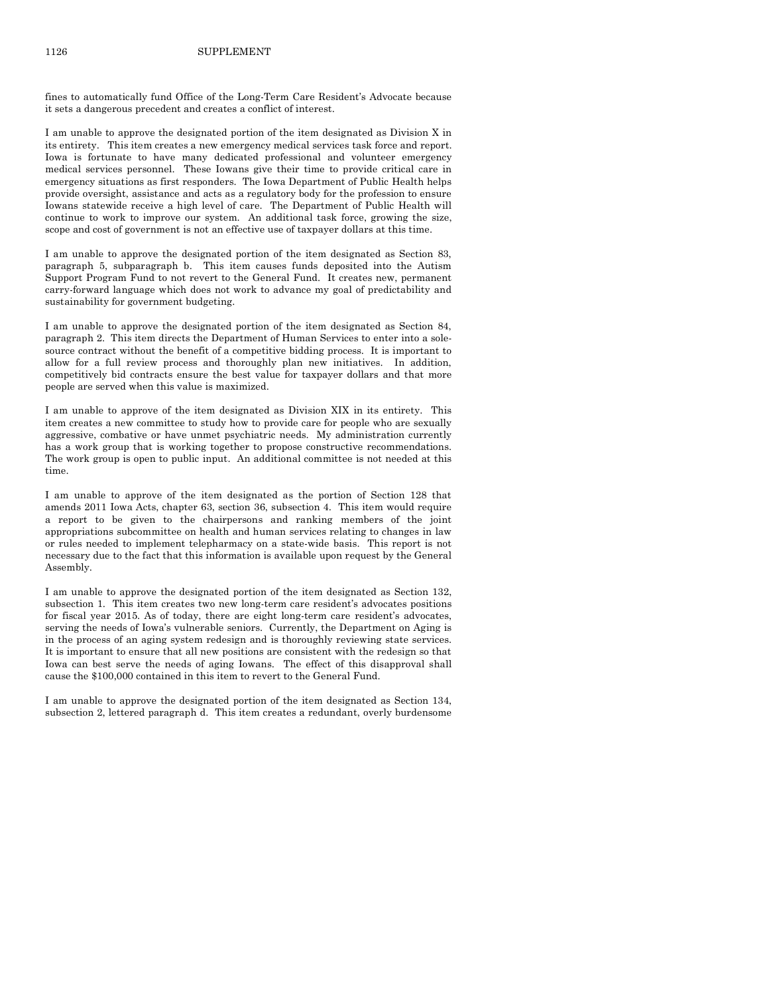fines to automatically fund Office of the Long-Term Care Resident's Advocate because it sets a dangerous precedent and creates a conflict of interest.

I am unable to approve the designated portion of the item designated as Division X in its entirety. This item creates a new emergency medical services task force and report. Iowa is fortunate to have many dedicated professional and volunteer emergency medical services personnel. These Iowans give their time to provide critical care in emergency situations as first responders. The Iowa Department of Public Health helps provide oversight, assistance and acts as a regulatory body for the profession to ensure Iowans statewide receive a high level of care. The Department of Public Health will continue to work to improve our system. An additional task force, growing the size, scope and cost of government is not an effective use of taxpayer dollars at this time.

I am unable to approve the designated portion of the item designated as Section 83, paragraph 5, subparagraph b. This item causes funds deposited into the Autism Support Program Fund to not revert to the General Fund. It creates new, permanent carry-forward language which does not work to advance my goal of predictability and sustainability for government budgeting.

I am unable to approve the designated portion of the item designated as Section 84, paragraph 2. This item directs the Department of Human Services to enter into a solesource contract without the benefit of a competitive bidding process. It is important to allow for a full review process and thoroughly plan new initiatives. In addition, competitively bid contracts ensure the best value for taxpayer dollars and that more people are served when this value is maximized.

I am unable to approve of the item designated as Division XIX in its entirety. This item creates a new committee to study how to provide care for people who are sexually aggressive, combative or have unmet psychiatric needs. My administration currently has a work group that is working together to propose constructive recommendations. The work group is open to public input. An additional committee is not needed at this time.

I am unable to approve of the item designated as the portion of Section 128 that amends 2011 Iowa Acts, chapter 63, section 36, subsection 4. This item would require a report to be given to the chairpersons and ranking members of the joint appropriations subcommittee on health and human services relating to changes in law or rules needed to implement telepharmacy on a state-wide basis. This report is not necessary due to the fact that this information is available upon request by the General Assembly.

I am unable to approve the designated portion of the item designated as Section 132, subsection 1. This item creates two new long-term care resident's advocates positions for fiscal year 2015. As of today, there are eight long-term care resident's advocates, serving the needs of Iowa's vulnerable seniors. Currently, the Department on Aging is in the process of an aging system redesign and is thoroughly reviewing state services. It is important to ensure that all new positions are consistent with the redesign so that Iowa can best serve the needs of aging Iowans. The effect of this disapproval shall cause the \$100,000 contained in this item to revert to the General Fund.

I am unable to approve the designated portion of the item designated as Section 134, subsection 2, lettered paragraph d. This item creates a redundant, overly burdensome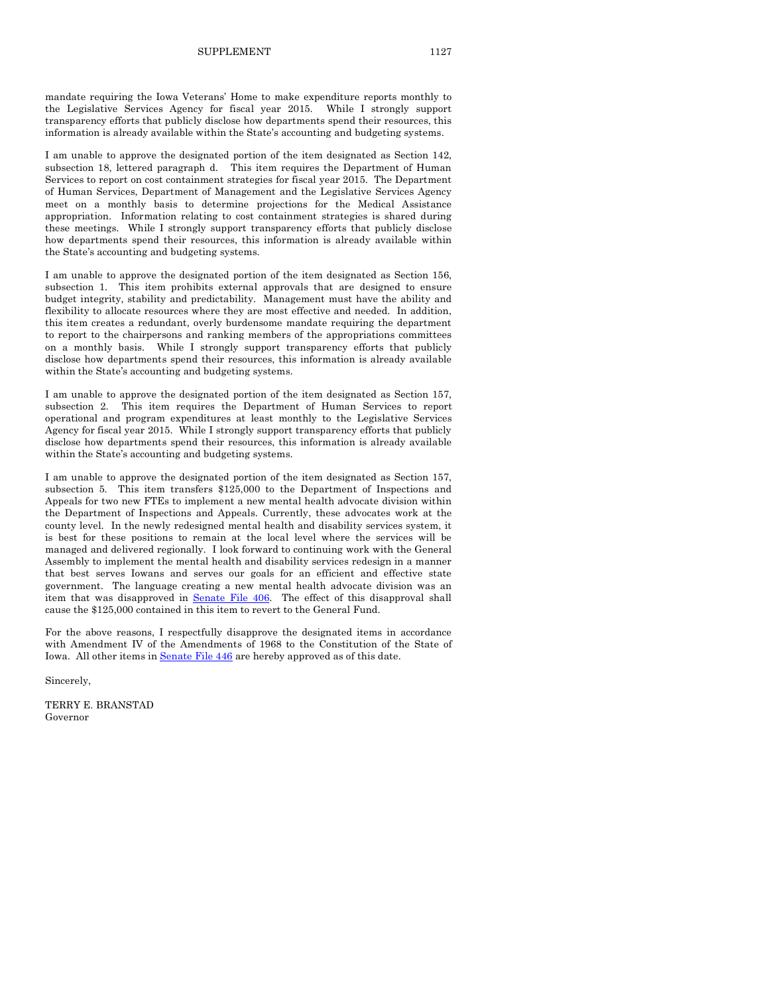mandate requiring the Iowa Veterans' Home to make expenditure reports monthly to the Legislative Services Agency for fiscal year 2015. While I strongly support transparency efforts that publicly disclose how departments spend their resources, this information is already available within the State's accounting and budgeting systems.

I am unable to approve the designated portion of the item designated as Section 142, subsection 18, lettered paragraph d. This item requires the Department of Human Services to report on cost containment strategies for fiscal year 2015. The Department of Human Services, Department of Management and the Legislative Services Agency meet on a monthly basis to determine projections for the Medical Assistance appropriation. Information relating to cost containment strategies is shared during these meetings. While I strongly support transparency efforts that publicly disclose how departments spend their resources, this information is already available within the State's accounting and budgeting systems.

I am unable to approve the designated portion of the item designated as Section 156, subsection 1. This item prohibits external approvals that are designed to ensure budget integrity, stability and predictability. Management must have the ability and flexibility to allocate resources where they are most effective and needed. In addition, this item creates a redundant, overly burdensome mandate requiring the department to report to the chairpersons and ranking members of the appropriations committees on a monthly basis. While I strongly support transparency efforts that publicly disclose how departments spend their resources, this information is already available within the State's accounting and budgeting systems.

I am unable to approve the designated portion of the item designated as Section 157, subsection 2. This item requires the Department of Human Services to report operational and program expenditures at least monthly to the Legislative Services Agency for fiscal year 2015. While I strongly support transparency efforts that publicly disclose how departments spend their resources, this information is already available within the State's accounting and budgeting systems.

I am unable to approve the designated portion of the item designated as Section 157, subsection 5. This item transfers \$125,000 to the Department of Inspections and Appeals for two new FTEs to implement a new mental health advocate division within the Department of Inspections and Appeals. Currently, these advocates work at the county level. In the newly redesigned mental health and disability services system, it is best for these positions to remain at the local level where the services will be managed and delivered regionally. I look forward to continuing work with the General Assembly to implement the mental health and disability services redesign in a manner that best serves Iowans and serves our goals for an efficient and effective state government. The language creating a new mental health advocate division was an item that was disapproved in [Senate File 406.](http://coolice.legis.iowa.gov/Cool-ICE/default.asp?Category=billinfo&Service=Billbook&frame=1&GA=85&hbill=SF406) The effect of this disapproval shall cause the \$125,000 contained in this item to revert to the General Fund.

For the above reasons, I respectfully disapprove the designated items in accordance with Amendment IV of the Amendments of 1968 to the Constitution of the State of Iowa. All other items i[n Senate File 446](http://coolice.legis.iowa.gov/Cool-ICE/default.asp?Category=billinfo&Service=Billbook&frame=1&GA=85&hbill=SF446) are hereby approved as of this date.

Sincerely,

TERRY E. BRANSTAD Governor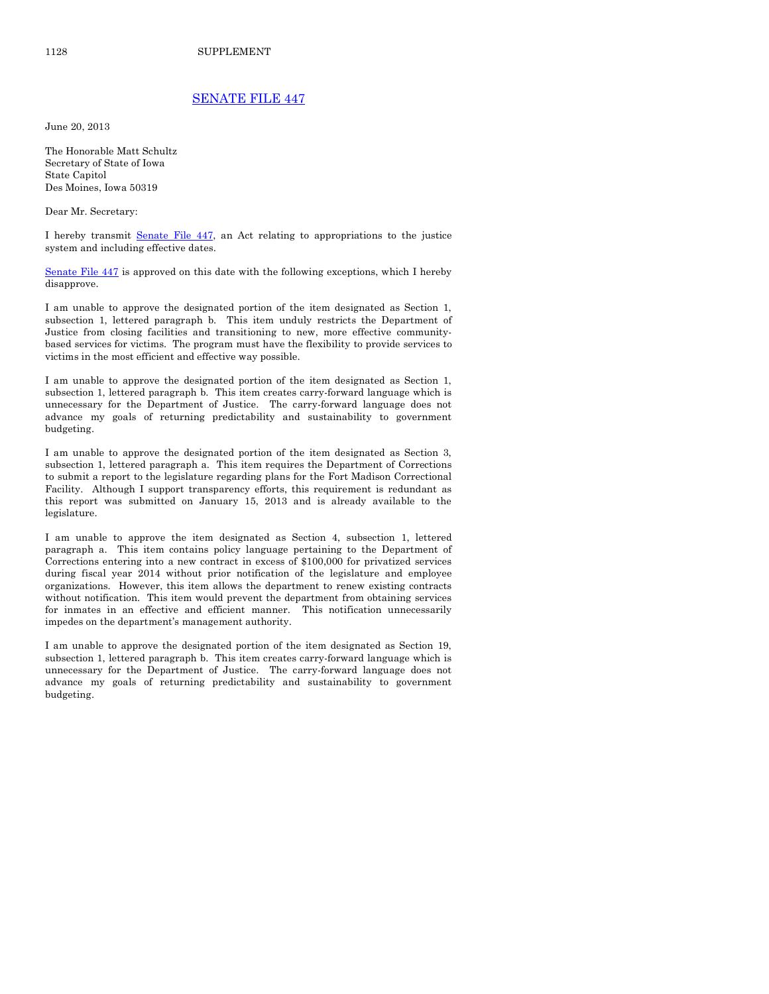# [SENATE FILE 447](http://coolice.legis.iowa.gov/Cool-ICE/default.asp?Category=billinfo&Service=Billbook&frame=1&GA=85&hbill=SF447)

June 20, 2013

The Honorable Matt Schultz Secretary of State of Iowa State Capitol Des Moines, Iowa 50319

Dear Mr. Secretary:

I hereby transmit [Senate File 447,](http://coolice.legis.iowa.gov/Cool-ICE/default.asp?Category=billinfo&Service=Billbook&frame=1&GA=85&hbill=SF447) an Act relating to appropriations to the justice system and including effective dates.

[Senate File 447](http://coolice.legis.iowa.gov/Cool-ICE/default.asp?Category=billinfo&Service=Billbook&frame=1&GA=85&hbill=SF447) is approved on this date with the following exceptions, which I hereby disapprove.

I am unable to approve the designated portion of the item designated as Section 1, subsection 1, lettered paragraph b. This item unduly restricts the Department of Justice from closing facilities and transitioning to new, more effective communitybased services for victims. The program must have the flexibility to provide services to victims in the most efficient and effective way possible.

I am unable to approve the designated portion of the item designated as Section 1, subsection 1, lettered paragraph b. This item creates carry-forward language which is unnecessary for the Department of Justice. The carry-forward language does not advance my goals of returning predictability and sustainability to government budgeting.

I am unable to approve the designated portion of the item designated as Section 3, subsection 1, lettered paragraph a. This item requires the Department of Corrections to submit a report to the legislature regarding plans for the Fort Madison Correctional Facility. Although I support transparency efforts, this requirement is redundant as this report was submitted on January 15, 2013 and is already available to the legislature.

I am unable to approve the item designated as Section 4, subsection 1, lettered paragraph a. This item contains policy language pertaining to the Department of Corrections entering into a new contract in excess of \$100,000 for privatized services during fiscal year 2014 without prior notification of the legislature and employee organizations. However, this item allows the department to renew existing contracts without notification. This item would prevent the department from obtaining services for inmates in an effective and efficient manner. This notification unnecessarily impedes on the department's management authority.

I am unable to approve the designated portion of the item designated as Section 19, subsection 1, lettered paragraph b. This item creates carry-forward language which is unnecessary for the Department of Justice. The carry-forward language does not advance my goals of returning predictability and sustainability to government budgeting.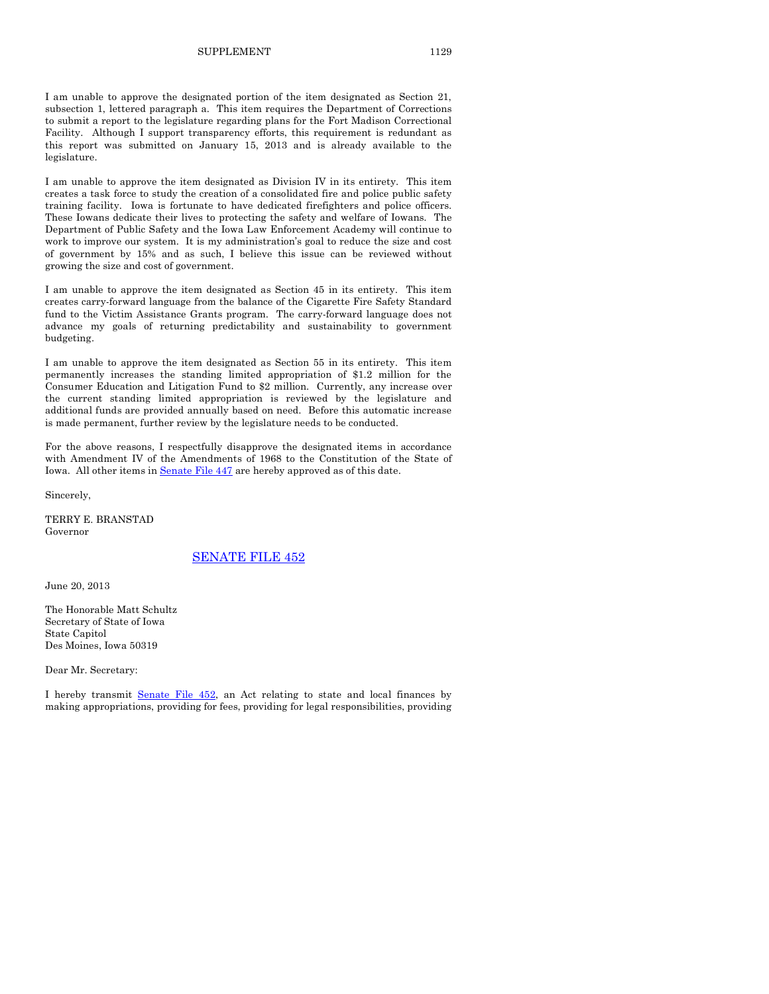I am unable to approve the designated portion of the item designated as Section 21, subsection 1, lettered paragraph a. This item requires the Department of Corrections to submit a report to the legislature regarding plans for the Fort Madison Correctional Facility. Although I support transparency efforts, this requirement is redundant as this report was submitted on January 15, 2013 and is already available to the legislature.

I am unable to approve the item designated as Division IV in its entirety. This item creates a task force to study the creation of a consolidated fire and police public safety training facility. Iowa is fortunate to have dedicated firefighters and police officers. These Iowans dedicate their lives to protecting the safety and welfare of Iowans. The Department of Public Safety and the Iowa Law Enforcement Academy will continue to work to improve our system. It is my administration's goal to reduce the size and cost of government by 15% and as such, I believe this issue can be reviewed without growing the size and cost of government.

I am unable to approve the item designated as Section 45 in its entirety. This item creates carry-forward language from the balance of the Cigarette Fire Safety Standard fund to the Victim Assistance Grants program. The carry-forward language does not advance my goals of returning predictability and sustainability to government budgeting.

I am unable to approve the item designated as Section 55 in its entirety. This item permanently increases the standing limited appropriation of \$1.2 million for the Consumer Education and Litigation Fund to \$2 million. Currently, any increase over the current standing limited appropriation is reviewed by the legislature and additional funds are provided annually based on need. Before this automatic increase is made permanent, further review by the legislature needs to be conducted.

For the above reasons, I respectfully disapprove the designated items in accordance with Amendment IV of the Amendments of 1968 to the Constitution of the State of Iowa. All other items i[n Senate File 447](http://coolice.legis.iowa.gov/Cool-ICE/default.asp?Category=billinfo&Service=Billbook&frame=1&GA=85&hbill=SF447) are hereby approved as of this date.

Sincerely,

TERRY E. BRANSTAD Governor

### [SENATE FILE 452](http://coolice.legis.iowa.gov/Cool-ICE/default.asp?Category=billinfo&Service=Billbook&frame=1&GA=85&hbill=SF452)

June 20, 2013

The Honorable Matt Schultz Secretary of State of Iowa State Capitol Des Moines, Iowa 50319

Dear Mr. Secretary:

I hereby transmit [Senate File 452,](http://coolice.legis.iowa.gov/Cool-ICE/default.asp?Category=billinfo&Service=Billbook&frame=1&GA=85&hbill=SF452) an Act relating to state and local finances by making appropriations, providing for fees, providing for legal responsibilities, providing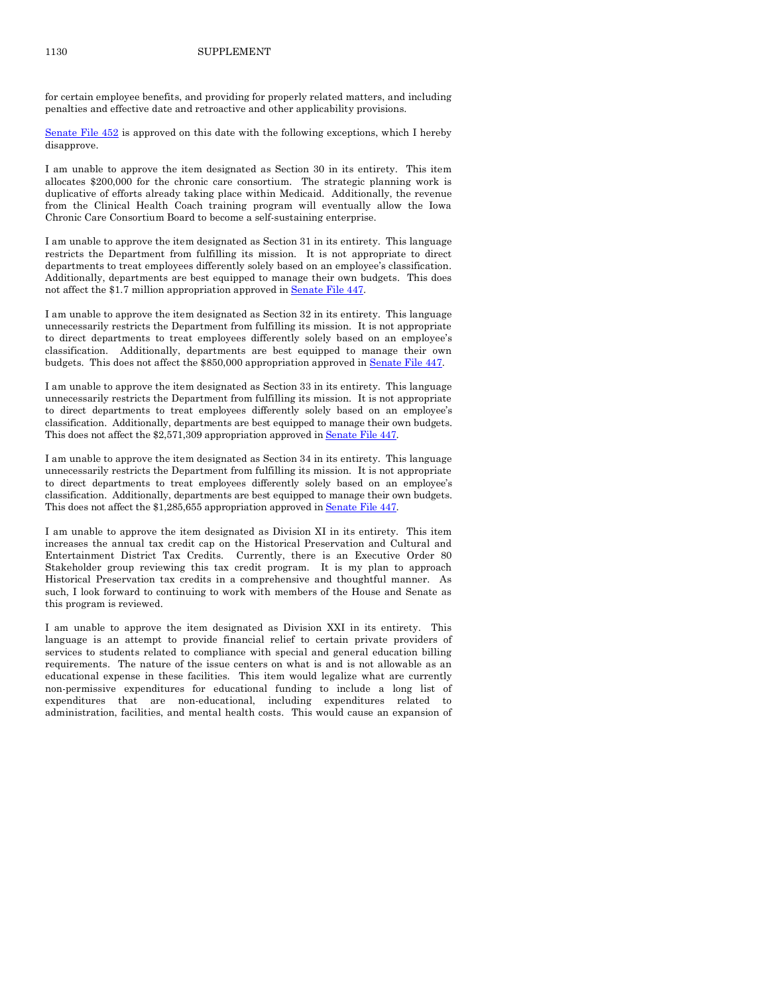for certain employee benefits, and providing for properly related matters, and including penalties and effective date and retroactive and other applicability provisions.

Senate File  $452$  is approved on this date with the following exceptions, which I hereby disapprove.

I am unable to approve the item designated as Section 30 in its entirety. This item allocates \$200,000 for the chronic care consortium. The strategic planning work is duplicative of efforts already taking place within Medicaid. Additionally, the revenue from the Clinical Health Coach training program will eventually allow the Iowa Chronic Care Consortium Board to become a self-sustaining enterprise.

I am unable to approve the item designated as Section 31 in its entirety. This language restricts the Department from fulfilling its mission. It is not appropriate to direct departments to treat employees differently solely based on an employee's classification. Additionally, departments are best equipped to manage their own budgets. This does not affect the \$1.7 million appropriation approved in [Senate File 447.](http://coolice.legis.iowa.gov/Cool-ICE/default.asp?Category=billinfo&Service=Billbook&frame=1&GA=85&hbill=SF447)

I am unable to approve the item designated as Section 32 in its entirety. This language unnecessarily restricts the Department from fulfilling its mission. It is not appropriate to direct departments to treat employees differently solely based on an employee's classification. Additionally, departments are best equipped to manage their own budgets. This does not affect the \$850,000 appropriation approved i[n Senate File 447.](http://coolice.legis.iowa.gov/Cool-ICE/default.asp?Category=billinfo&Service=Billbook&frame=1&GA=85&hbill=SF447)

I am unable to approve the item designated as Section 33 in its entirety. This language unnecessarily restricts the Department from fulfilling its mission. It is not appropriate to direct departments to treat employees differently solely based on an employee's classification. Additionally, departments are best equipped to manage their own budgets. This does not affect the \$2,571,309 appropriation approved in Senate File 447.

I am unable to approve the item designated as Section 34 in its entirety. This language unnecessarily restricts the Department from fulfilling its mission. It is not appropriate to direct departments to treat employees differently solely based on an employee's classification. Additionally, departments are best equipped to manage their own budgets. This does not affect the \$1,285,655 appropriation approved i[n Senate File 447.](http://coolice.legis.iowa.gov/Cool-ICE/default.asp?Category=billinfo&Service=Billbook&frame=1&GA=85&hbill=SF447) 

I am unable to approve the item designated as Division XI in its entirety. This item increases the annual tax credit cap on the Historical Preservation and Cultural and Entertainment District Tax Credits. Currently, there is an Executive Order 80 Stakeholder group reviewing this tax credit program. It is my plan to approach Historical Preservation tax credits in a comprehensive and thoughtful manner. As such, I look forward to continuing to work with members of the House and Senate as this program is reviewed.

I am unable to approve the item designated as Division XXI in its entirety. This language is an attempt to provide financial relief to certain private providers of services to students related to compliance with special and general education billing requirements. The nature of the issue centers on what is and is not allowable as an educational expense in these facilities. This item would legalize what are currently non-permissive expenditures for educational funding to include a long list of expenditures that are non-educational, including expenditures related to administration, facilities, and mental health costs. This would cause an expansion of